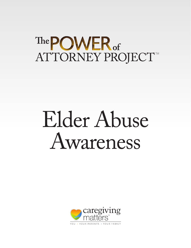# The POWER of ATTORNEY PROJECT™

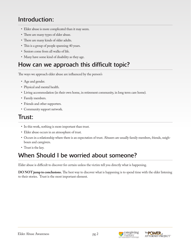# Introduction:

- • Elder abuse is more complicated than it may seem.
- There are many types of elder abuse.
- There are many kinds of older adults.
- This is a group of people spanning 40 years.
- • Seniors come from all walks of life.
- Many have some kind of disability as they age.

## How can we approach this difficult topic?

The ways we approach elder abuse are influenced by the person's

- Age and gender.
- Physical and mental health.
- • Living accommodation (in their own home, in retirement community, in long term care home).
- Family members.
- Friends and other supporters.
- Community support network.

## Trust:

- In this work, nothing is more important than trust.
- • Elder abuse occurs in an atmosphere of trust.
- • Occurs in a relationship where there is an expectation of trust. Abusers are usually family members, friends, neighbours and caregivers.
- Trust is the key.

# When Should I be worried about someone?

Elder abuse is difficult to discover for certain unless the victim tell you directly what is happening.

**DO NOT jump to conclusions.** The best way to discover what is happening is to spend time with the elder listening to their stories. Trust is the most important element.

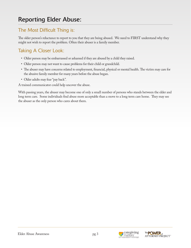# Reporting Elder Abuse:

#### The Most Difficult Thing is:

The older person's reluctance to report to you that they are being abused. We need to FIRST understand why they might not wish to report the problem. Often their abuser is a family member.

#### Taking A Closer Look:

- Older person may be embarrassed or ashamed if they are abused by a child they raised.
- Older person may not want to cause problems for their child or grandchild.
- • The abuser may have concerns related to employment, financial, physical or mental health. The victim may care for the abusive family member for many years before the abuse began.
- Older adults may fear "pay back".

A trained communicator could help uncover the abuse.

With passing years, the abuser may become one of only a small number of persons who stands between the elder and long term care. Some individuals find abuse more acceptable than a move to a long term care home. They may see the abuser as the only person who cares about them.

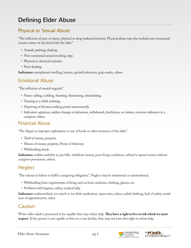# Defining Elder Abuse

#### Physical or Sexual Abuse

"The infliction of pain or injury, physical or drug-induced restraint. Physical abuse may also include non-consensual sexual contact of any kind with the elder."

- Assault, pushing, shaking.
- Non-consensual sexual touching, rape.
- Physical or chemical restraint.
- Force feeding.

**Indicators:** unexplained swelling, bruises, genital infections, grip marks, others.

#### Emotional Abuse

"The infliction of mental anguish".

- Name-calling, scolding, shouting, threatening, intimidating.
- Treating as a child, isolating.
- • Depriving of decision making power unnecessarily.
- • Indicators: agitation, sudden changes in behaviour, withdrawal, fearfulness, no visitors, excessive deference to a caregiver, others.

#### Financial Abuse

"The illegal or improper exploitation or use of funds or other resources of the elder".

- Theft of money, property.
- • Misuse of money, property, Power of Attorney.
- Withholding funds.

**Indicators:** sudden inability to pay bills, withdraw money, poor living conditions, refusal to spend money without caregiver permission, others.

#### **Neglect**

"The refusal or failure to fulfil a caregiving obligation". Neglect may be intentional or unintentional.

- Withholding basic requirements of living such as food, medicine, clothing, glasses, etc.
- Problems with hygiene, safety, medical help.

**Indicators:** malnourished, too much or too little medication, open sores, odour, soiled clothing, lack of safety, avoidance of appointments, other.

#### Caution:

When older adult is presumed to be capable they may refuse help. **They have a right to live at risk which we must respect.** If the person is not capable or lives in a care facility, they may not have this right to refuse help.

Elder Abuse Awareness pg 4



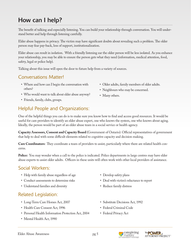# How can I help?

The benefit of talking and especially listening. You can build your relationship through conversation. You will understand better and help through listening carefully.

Elder abuse happens in privacy. The victim may have significant doubts about revealing such a problem. The older person may fear pay-back, loss of support, institutionalization.

Elder abuse can result in isolation. With a friendly listening ear the older person will be less isolated. As you enhance your relationship, you may be able to ensure the person gets what they need (information, medical attention, food, safety, legal or police help).

Talking about this issue will open the door to future help from a variety of sources.

#### Conversations Matter!

- Where and how can I begin the conversation with others?
- • Older adults, family members of older adults.
- Neighbours who may be concerned.
- Many others.
- Who would want to talk about elder abuse anyway?
- Friends, family, clubs, groups.

#### Helpful People and Organizations:

One of the helpful things you can do is to make sure you know how to find and access good resources. It would be useful for care providers to identify an elder abuse expert, one who knows the system, one who knows about aging. Ideally, the person would be part of an elder abuse team in a social service or health agency.

**Capacity Assessors, Consent and Capacity Board** (Government of Ontario): Official representatives of government that help to deal with some difficult elements related to cognitive capacity and decision making.

**Care Coordinators:** They coordinate a team of providers to assist, particularly where there are related health concerns.

**Police:** You may wonder when a call to the police is indicated. Police departments in large centres may have elder abuse experts to assist older adults. Officers in these units will often work with other local providers of assistance.

#### Social Workers:

- Help with family abuse regardless of age
- • Conduct assessments to determine risks
- • Understand families and diversity

#### Related Legislation:

- Long-Term Care Homes Act, 2007
- Health Care Consent Act, 1996
- Personal Health Information Protection Act, 2004
- Mental Health Act, 1990
- Develop safety plans
- • Deal with victim's reluctance to report
- Reduce family distress
- Substitute Decisions Act, 1992
- • Federal Criminal Code
- Federal Privacy Act



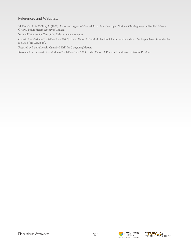#### References and Websites:

McDonald, L. & Collins, A. (2000). Abuse and neglect of older adults: a discussion paper. National Clearinghouse on Family Violence. Ottawa: Public Health Agency of Canada.

National Initiative for Care of the Elderly. www.nicenet.ca

Ontario Association of Social Workers. (2009). Elder Abuse: A Practical Handbook for Service Providers. Can be purchased from the Association [416.923.4848].

Prepared by Sandra Loucks Campbell PhD for Caregiving Matters

Resource from: Ontario Association of Social Workers. 2009. Elder Abuse: A Practical Handbook for Service Providers.

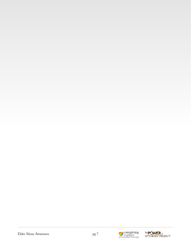

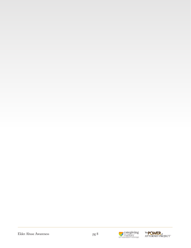

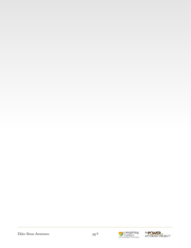